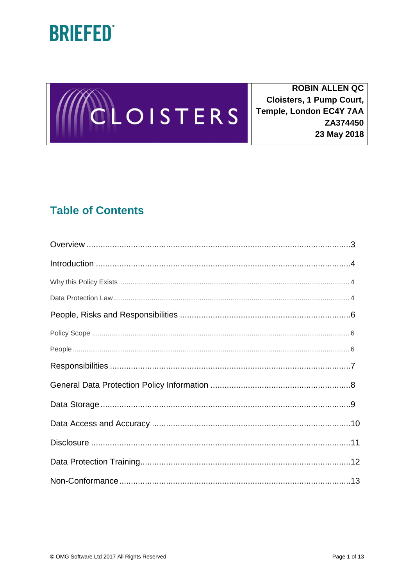



**ROBIN ALLEN QC Cloisters, 1 Pump Court,** Temple, London EC4Y 7AA ZA374450 23 May 2018

## **Table of Contents**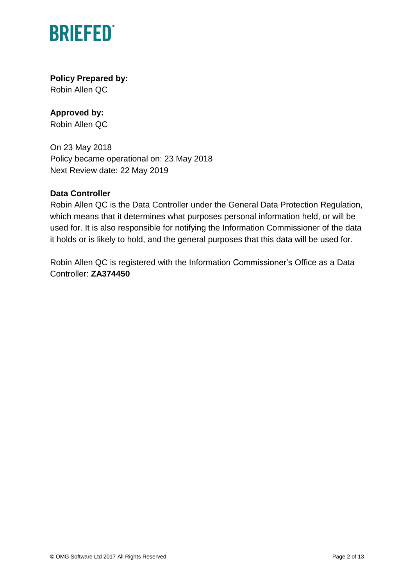

### **Policy Prepared by:**

Robin Allen QC

### **Approved by:**

Robin Allen QC

On 23 May 2018 Policy became operational on: 23 May 2018 Next Review date: 22 May 2019

### **Data Controller**

Robin Allen QC is the Data Controller under the General Data Protection Regulation, which means that it determines what purposes personal information held, or will be used for. It is also responsible for notifying the Information Commissioner of the data it holds or is likely to hold, and the general purposes that this data will be used for.

Robin Allen QC is registered with the Information Commissioner's Office as a Data Controller: **ZA374450**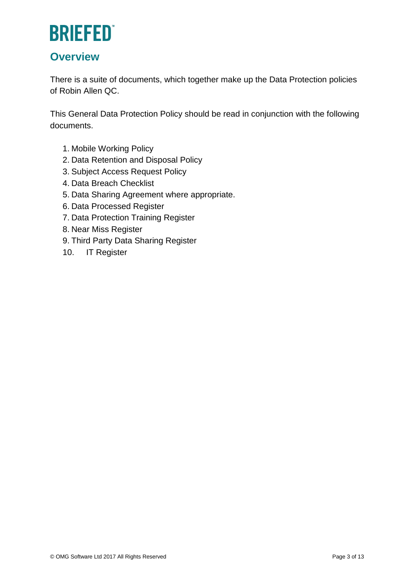### **Overview**

There is a suite of documents, which together make up the Data Protection policies of Robin Allen QC.

This General Data Protection Policy should be read in conjunction with the following documents.

- 1. Mobile Working Policy
- 2. Data Retention and Disposal Policy
- 3. Subject Access Request Policy
- 4. Data Breach Checklist
- 5. Data Sharing Agreement where appropriate.
- 6. Data Processed Register
- 7. Data Protection Training Register
- 8. Near Miss Register
- 9. Third Party Data Sharing Register
- 10. IT Register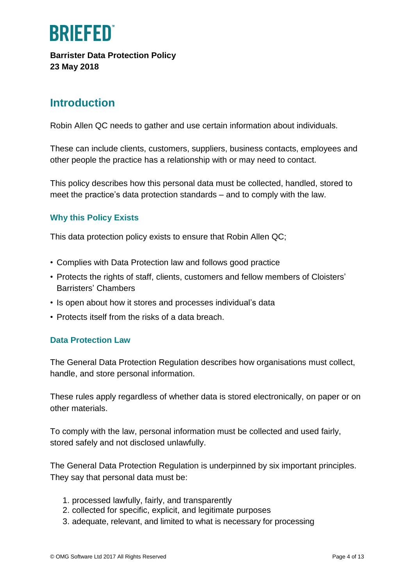

**Barrister Data Protection Policy 23 May 2018**

### **Introduction**

Robin Allen QC needs to gather and use certain information about individuals.

These can include clients, customers, suppliers, business contacts, employees and other people the practice has a relationship with or may need to contact.

This policy describes how this personal data must be collected, handled, stored to meet the practice's data protection standards – and to comply with the law.

### **Why this Policy Exists**

This data protection policy exists to ensure that Robin Allen QC;

- Complies with Data Protection law and follows good practice
- Protects the rights of staff, clients, customers and fellow members of Cloisters' Barristers' Chambers
- Is open about how it stores and processes individual's data
- Protects itself from the risks of a data breach.

#### **Data Protection Law**

The General Data Protection Regulation describes how organisations must collect, handle, and store personal information.

These rules apply regardless of whether data is stored electronically, on paper or on other materials.

To comply with the law, personal information must be collected and used fairly, stored safely and not disclosed unlawfully.

The General Data Protection Regulation is underpinned by six important principles. They say that personal data must be:

- 1. processed lawfully, fairly, and transparently
- 2. collected for specific, explicit, and legitimate purposes
- 3. adequate, relevant, and limited to what is necessary for processing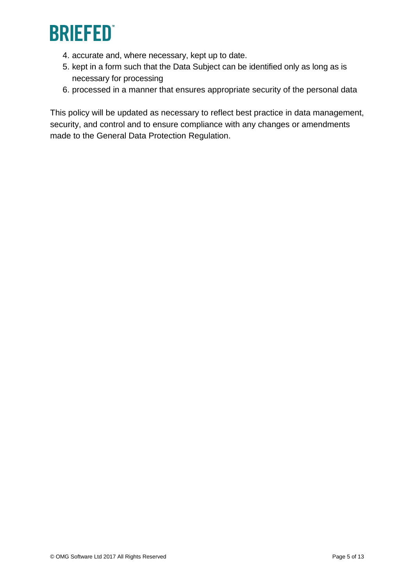

- 4. accurate and, where necessary, kept up to date.
- 5. kept in a form such that the Data Subject can be identified only as long as is necessary for processing
- 6. processed in a manner that ensures appropriate security of the personal data

This policy will be updated as necessary to reflect best practice in data management, security, and control and to ensure compliance with any changes or amendments made to the General Data Protection Regulation.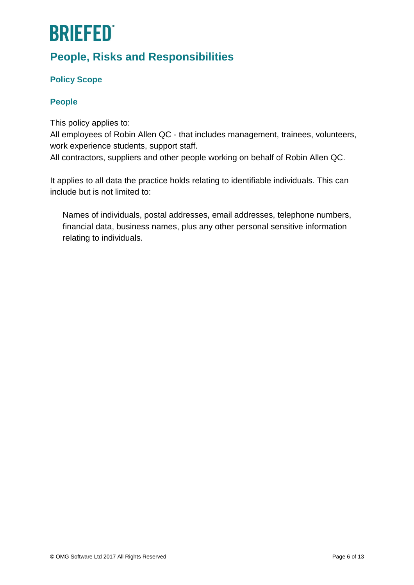## **People, Risks and Responsibilities**

### **Policy Scope**

### **People**

This policy applies to:

All employees of Robin Allen QC - that includes management, trainees, volunteers, work experience students, support staff.

All contractors, suppliers and other people working on behalf of Robin Allen QC.

It applies to all data the practice holds relating to identifiable individuals. This can include but is not limited to:

Names of individuals, postal addresses, email addresses, telephone numbers, financial data, business names, plus any other personal sensitive information relating to individuals.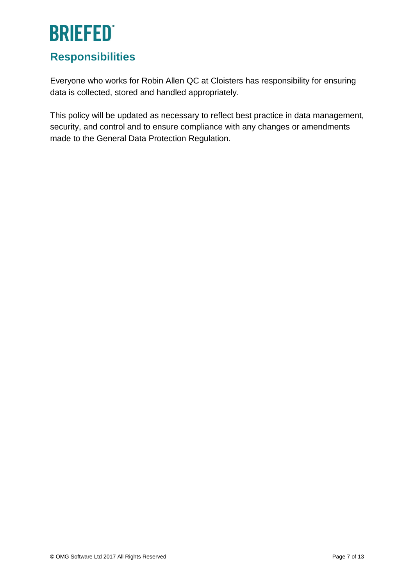## **Responsibilities**

Everyone who works for Robin Allen QC at Cloisters has responsibility for ensuring data is collected, stored and handled appropriately.

This policy will be updated as necessary to reflect best practice in data management, security, and control and to ensure compliance with any changes or amendments made to the General Data Protection Regulation.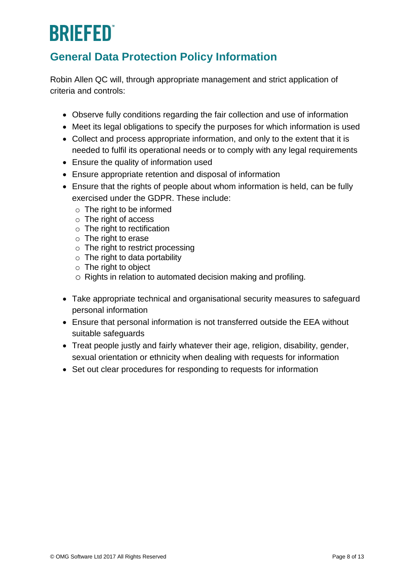## **General Data Protection Policy Information**

Robin Allen QC will, through appropriate management and strict application of criteria and controls:

- Observe fully conditions regarding the fair collection and use of information
- Meet its legal obligations to specify the purposes for which information is used
- Collect and process appropriate information, and only to the extent that it is needed to fulfil its operational needs or to comply with any legal requirements
- Ensure the quality of information used
- Ensure appropriate retention and disposal of information
- Ensure that the rights of people about whom information is held, can be fully exercised under the GDPR. These include:
	- o The right to be informed
	- o The right of access
	- o The right to rectification
	- o The right to erase
	- $\circ$  The right to restrict processing
	- $\circ$  The right to data portability
	- o The right to object
	- o Rights in relation to automated decision making and profiling.
- Take appropriate technical and organisational security measures to safeguard personal information
- Ensure that personal information is not transferred outside the EEA without suitable safeguards
- Treat people justly and fairly whatever their age, religion, disability, gender, sexual orientation or ethnicity when dealing with requests for information
- Set out clear procedures for responding to requests for information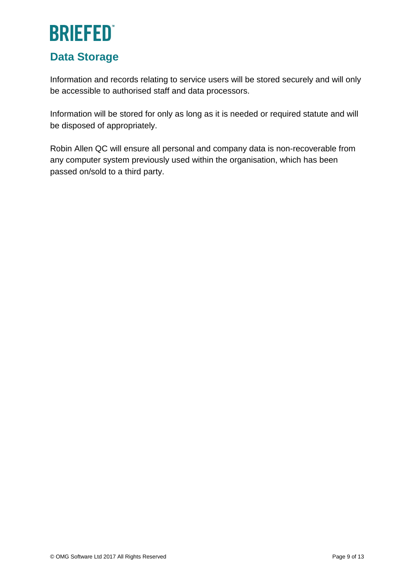### **Data Storage**

Information and records relating to service users will be stored securely and will only be accessible to authorised staff and data processors.

Information will be stored for only as long as it is needed or required statute and will be disposed of appropriately.

Robin Allen QC will ensure all personal and company data is non-recoverable from any computer system previously used within the organisation, which has been passed on/sold to a third party.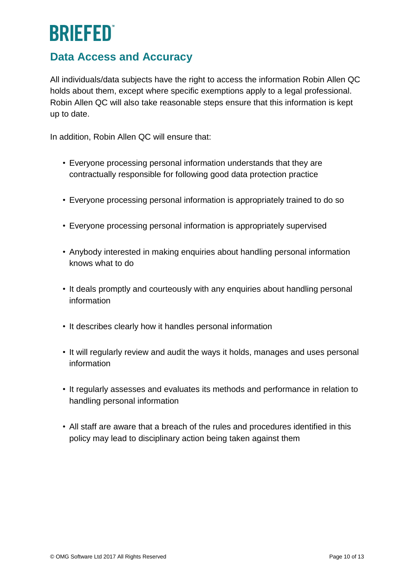### **Data Access and Accuracy**

All individuals/data subjects have the right to access the information Robin Allen QC holds about them, except where specific exemptions apply to a legal professional. Robin Allen QC will also take reasonable steps ensure that this information is kept up to date.

In addition, Robin Allen QC will ensure that:

- Everyone processing personal information understands that they are contractually responsible for following good data protection practice
- Everyone processing personal information is appropriately trained to do so
- Everyone processing personal information is appropriately supervised
- Anybody interested in making enquiries about handling personal information knows what to do
- It deals promptly and courteously with any enquiries about handling personal information
- It describes clearly how it handles personal information
- It will regularly review and audit the ways it holds, manages and uses personal information
- It regularly assesses and evaluates its methods and performance in relation to handling personal information
- All staff are aware that a breach of the rules and procedures identified in this policy may lead to disciplinary action being taken against them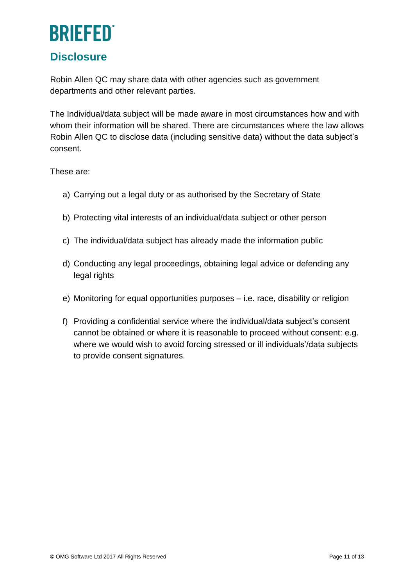### **Disclosure**

Robin Allen QC may share data with other agencies such as government departments and other relevant parties.

The Individual/data subject will be made aware in most circumstances how and with whom their information will be shared. There are circumstances where the law allows Robin Allen QC to disclose data (including sensitive data) without the data subject's consent.

These are:

- a) Carrying out a legal duty or as authorised by the Secretary of State
- b) Protecting vital interests of an individual/data subject or other person
- c) The individual/data subject has already made the information public
- d) Conducting any legal proceedings, obtaining legal advice or defending any legal rights
- e) Monitoring for equal opportunities purposes i.e. race, disability or religion
- f) Providing a confidential service where the individual/data subject's consent cannot be obtained or where it is reasonable to proceed without consent: e.g. where we would wish to avoid forcing stressed or ill individuals'/data subjects to provide consent signatures.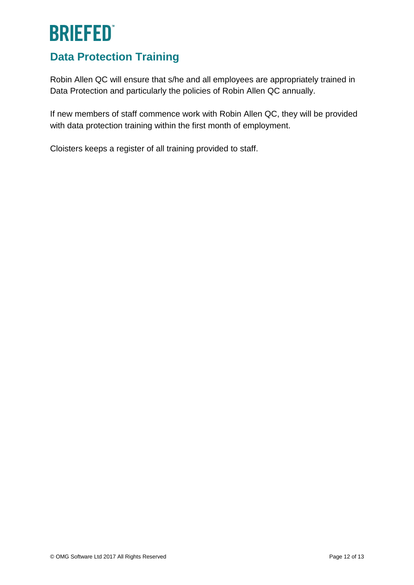## **Data Protection Training**

Robin Allen QC will ensure that s/he and all employees are appropriately trained in Data Protection and particularly the policies of Robin Allen QC annually.

If new members of staff commence work with Robin Allen QC, they will be provided with data protection training within the first month of employment.

Cloisters keeps a register of all training provided to staff.